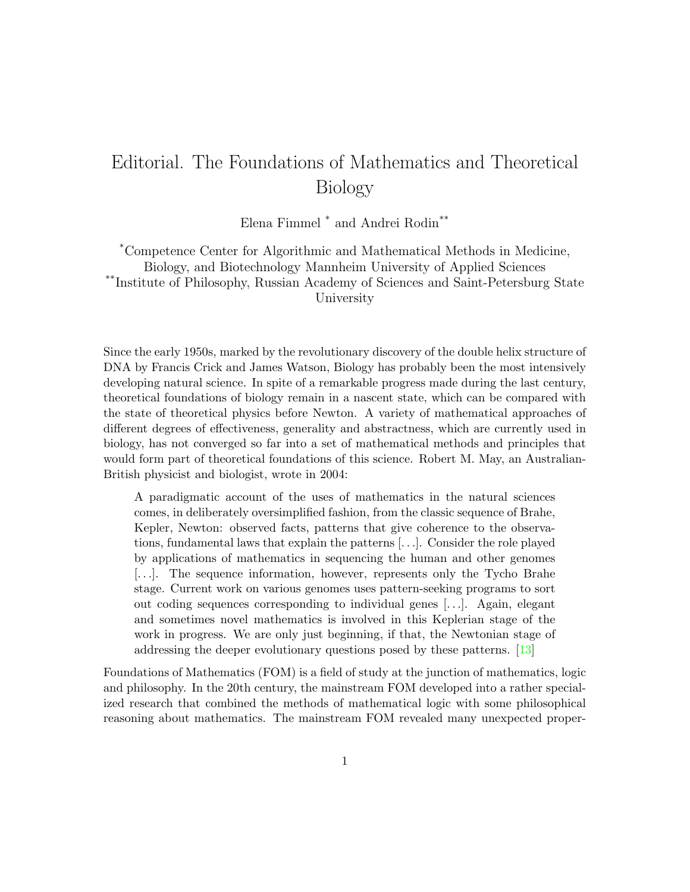## Editorial. The Foundations of Mathematics and Theoretical Biology

Elena Fimmel \* and Andrei Rodin\*\*

\*Competence Center for Algorithmic and Mathematical Methods in Medicine, Biology, and Biotechnology Mannheim University of Applied Sciences \*\*Institute of Philosophy, Russian Academy of Sciences and Saint-Petersburg State University

Since the early 1950s, marked by the revolutionary discovery of the double helix structure of DNA by Francis Crick and James Watson, Biology has probably been the most intensively developing natural science. In spite of a remarkable progress made during the last century, theoretical foundations of biology remain in a nascent state, which can be compared with the state of theoretical physics before Newton. A variety of mathematical approaches of different degrees of effectiveness, generality and abstractness, which are currently used in biology, has not converged so far into a set of mathematical methods and principles that would form part of theoretical foundations of this science. Robert M. May, an Australian-British physicist and biologist, wrote in 2004:

A paradigmatic account of the uses of mathematics in the natural sciences comes, in deliberately oversimplified fashion, from the classic sequence of Brahe, Kepler, Newton: observed facts, patterns that give coherence to the observations, fundamental laws that explain the patterns [. . .]. Consider the role played by applications of mathematics in sequencing the human and other genomes [. . .]. The sequence information, however, represents only the Tycho Brahe stage. Current work on various genomes uses pattern-seeking programs to sort out coding sequences corresponding to individual genes [. . .]. Again, elegant and sometimes novel mathematics is involved in this Keplerian stage of the work in progress. We are only just beginning, if that, the Newtonian stage of addressing the deeper evolutionary questions posed by these patterns. [\[13\]](#page-6-0)

Foundations of Mathematics (FOM) is a field of study at the junction of mathematics, logic and philosophy. In the 20th century, the mainstream FOM developed into a rather specialized research that combined the methods of mathematical logic with some philosophical reasoning about mathematics. The mainstream FOM revealed many unexpected proper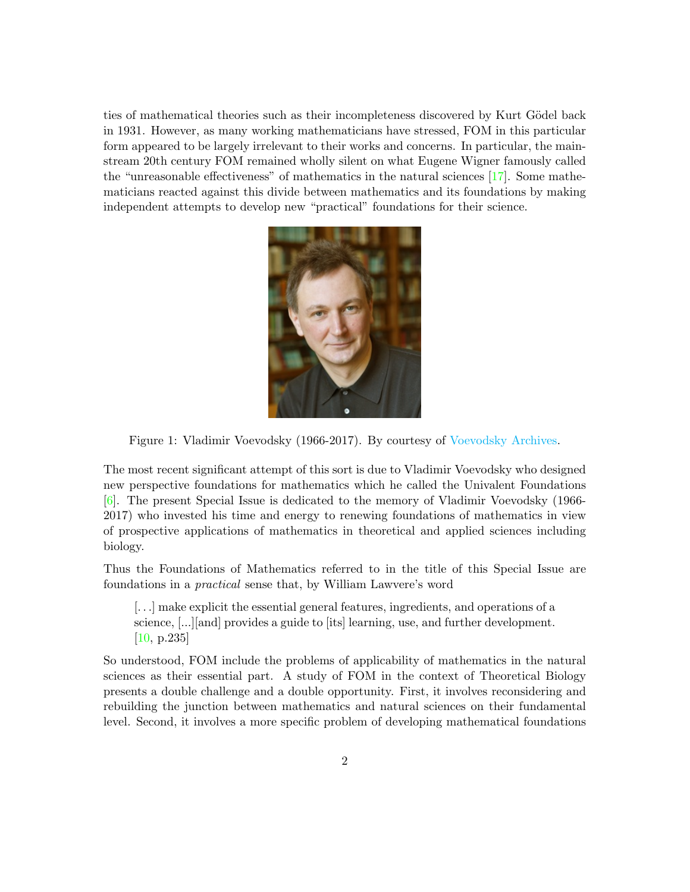ties of mathematical theories such as their incompleteness discovered by Kurt Gödel back in 1931. However, as many working mathematicians have stressed, FOM in this particular form appeared to be largely irrelevant to their works and concerns. In particular, the mainstream 20th century FOM remained wholly silent on what Eugene Wigner famously called the "unreasonable effectiveness" of mathematics in the natural sciences [\[17\]](#page-6-1). Some mathematicians reacted against this divide between mathematics and its foundations by making independent attempts to develop new "practical" foundations for their science.



Figure 1: Vladimir Voevodsky (1966-2017). By courtesy of [Voevodsky Archives.](https://www.math.ias.edu/Voevodsky/)

The most recent significant attempt of this sort is due to Vladimir Voevodsky who designed new perspective foundations for mathematics which he called the Univalent Foundations [\[6\]](#page-5-0). The present Special Issue is dedicated to the memory of Vladimir Voevodsky (1966- 2017) who invested his time and energy to renewing foundations of mathematics in view of prospective applications of mathematics in theoretical and applied sciences including biology.

Thus the Foundations of Mathematics referred to in the title of this Special Issue are foundations in a practical sense that, by William Lawvere's word

[...] make explicit the essential general features, ingredients, and operations of a science, [...][and] provides a guide to [its] learning, use, and further development. [\[10,](#page-5-1) p.235]

So understood, FOM include the problems of applicability of mathematics in the natural sciences as their essential part. A study of FOM in the context of Theoretical Biology presents a double challenge and a double opportunity. First, it involves reconsidering and rebuilding the junction between mathematics and natural sciences on their fundamental level. Second, it involves a more specific problem of developing mathematical foundations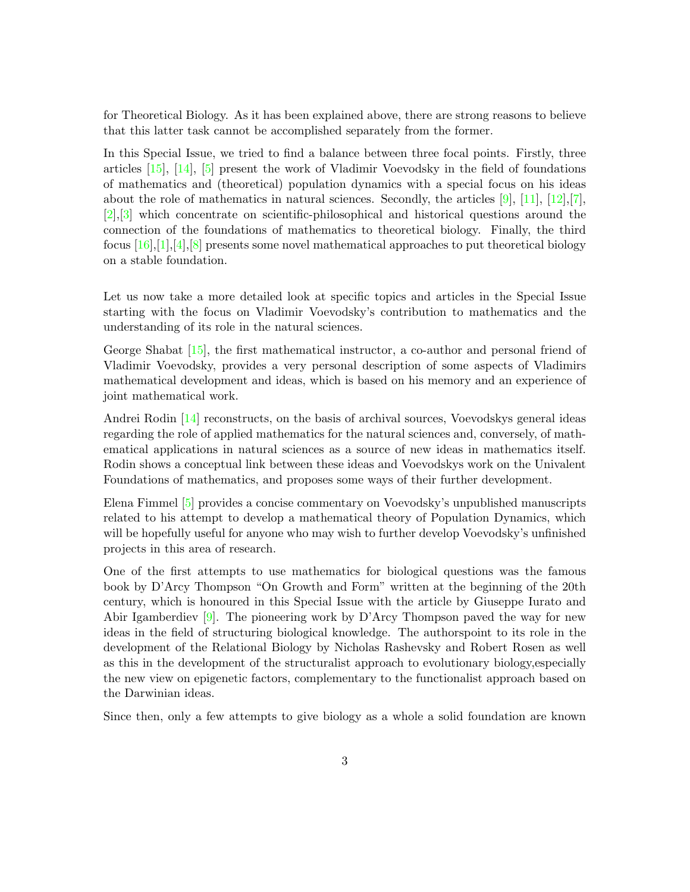for Theoretical Biology. As it has been explained above, there are strong reasons to believe that this latter task cannot be accomplished separately from the former.

In this Special Issue, we tried to find a balance between three focal points. Firstly, three articles [\[15\]](#page-6-2), [\[14\]](#page-6-3), [\[5\]](#page-5-2) present the work of Vladimir Voevodsky in the field of foundations of mathematics and (theoretical) population dynamics with a special focus on his ideas about the role of mathematics in natural sciences. Secondly, the articles  $[9]$ ,  $[11]$ ,  $[12]$ ,  $[7]$ , [\[2\]](#page-5-6),[\[3\]](#page-5-7) which concentrate on scientific-philosophical and historical questions around the connection of the foundations of mathematics to theoretical biology. Finally, the third focus  $[16],[1],[4],[8]$  $[16],[1],[4],[8]$  $[16],[1],[4],[8]$  $[16],[1],[4],[8]$  $[16],[1],[4],[8]$  $[16],[1],[4],[8]$  $[16],[1],[4],[8]$  presents some novel mathematical approaches to put theoretical biology on a stable foundation.

Let us now take a more detailed look at specific topics and articles in the Special Issue starting with the focus on Vladimir Voevodsky's contribution to mathematics and the understanding of its role in the natural sciences.

George Shabat [\[15\]](#page-6-2), the first mathematical instructor, a co-author and personal friend of Vladimir Voevodsky, provides a very personal description of some aspects of Vladimirs mathematical development and ideas, which is based on his memory and an experience of joint mathematical work.

Andrei Rodin [\[14\]](#page-6-3) reconstructs, on the basis of archival sources, Voevodskys general ideas regarding the role of applied mathematics for the natural sciences and, conversely, of mathematical applications in natural sciences as a source of new ideas in mathematics itself. Rodin shows a conceptual link between these ideas and Voevodskys work on the Univalent Foundations of mathematics, and proposes some ways of their further development.

Elena Fimmel [\[5\]](#page-5-2) provides a concise commentary on Voevodsky's unpublished manuscripts related to his attempt to develop a mathematical theory of Population Dynamics, which will be hopefully useful for anyone who may wish to further develop Voevodsky's unfinished projects in this area of research.

One of the first attempts to use mathematics for biological questions was the famous book by D'Arcy Thompson "On Growth and Form" written at the beginning of the 20th century, which is honoured in this Special Issue with the article by Giuseppe Iurato and Abir Igamberdiev [\[9\]](#page-5-3). The pioneering work by D'Arcy Thompson paved the way for new ideas in the field of structuring biological knowledge. The authorspoint to its role in the development of the Relational Biology by Nicholas Rashevsky and Robert Rosen as well as this in the development of the structuralist approach to evolutionary biology,especially the new view on epigenetic factors, complementary to the functionalist approach based on the Darwinian ideas.

Since then, only a few attempts to give biology as a whole a solid foundation are known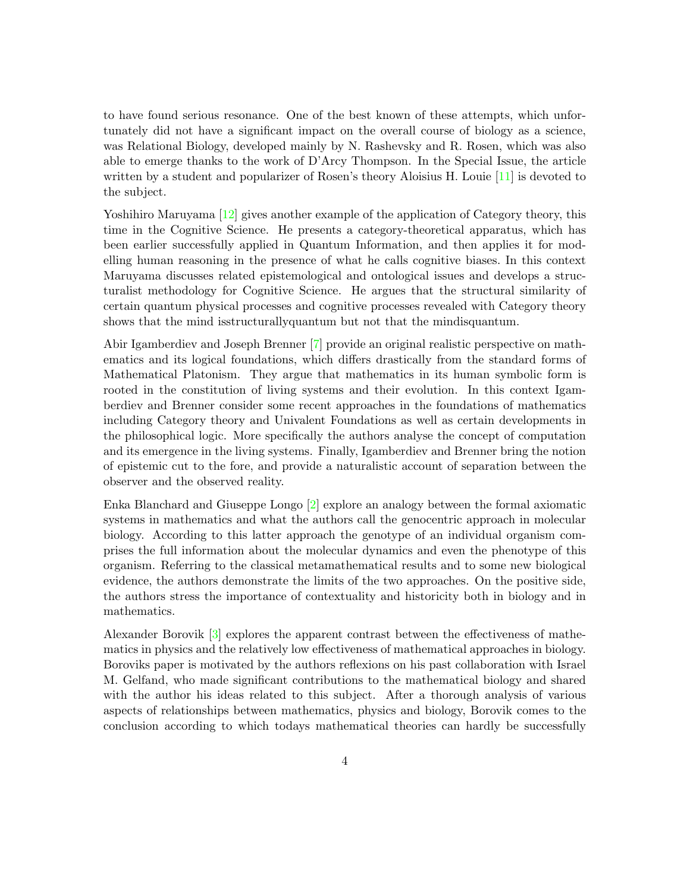to have found serious resonance. One of the best known of these attempts, which unfortunately did not have a significant impact on the overall course of biology as a science, was Relational Biology, developed mainly by N. Rashevsky and R. Rosen, which was also able to emerge thanks to the work of D'Arcy Thompson. In the Special Issue, the article written by a student and popularizer of Rosen's theory Aloisius H. Louie [\[11\]](#page-5-4) is devoted to the subject.

Yoshihiro Maruyama [\[12\]](#page-6-4) gives another example of the application of Category theory, this time in the Cognitive Science. He presents a category-theoretical apparatus, which has been earlier successfully applied in Quantum Information, and then applies it for modelling human reasoning in the presence of what he calls cognitive biases. In this context Maruyama discusses related epistemological and ontological issues and develops a structuralist methodology for Cognitive Science. He argues that the structural similarity of certain quantum physical processes and cognitive processes revealed with Category theory shows that the mind isstructurallyquantum but not that the mindisquantum.

Abir Igamberdiev and Joseph Brenner [\[7\]](#page-5-5) provide an original realistic perspective on mathematics and its logical foundations, which differs drastically from the standard forms of Mathematical Platonism. They argue that mathematics in its human symbolic form is rooted in the constitution of living systems and their evolution. In this context Igamberdiev and Brenner consider some recent approaches in the foundations of mathematics including Category theory and Univalent Foundations as well as certain developments in the philosophical logic. More specifically the authors analyse the concept of computation and its emergence in the living systems. Finally, Igamberdiev and Brenner bring the notion of epistemic cut to the fore, and provide a naturalistic account of separation between the observer and the observed reality.

Enka Blanchard and Giuseppe Longo [\[2\]](#page-5-6) explore an analogy between the formal axiomatic systems in mathematics and what the authors call the genocentric approach in molecular biology. According to this latter approach the genotype of an individual organism comprises the full information about the molecular dynamics and even the phenotype of this organism. Referring to the classical metamathematical results and to some new biological evidence, the authors demonstrate the limits of the two approaches. On the positive side, the authors stress the importance of contextuality and historicity both in biology and in mathematics.

Alexander Borovik [\[3\]](#page-5-7) explores the apparent contrast between the effectiveness of mathematics in physics and the relatively low effectiveness of mathematical approaches in biology. Boroviks paper is motivated by the authors reflexions on his past collaboration with Israel M. Gelfand, who made significant contributions to the mathematical biology and shared with the author his ideas related to this subject. After a thorough analysis of various aspects of relationships between mathematics, physics and biology, Borovik comes to the conclusion according to which todays mathematical theories can hardly be successfully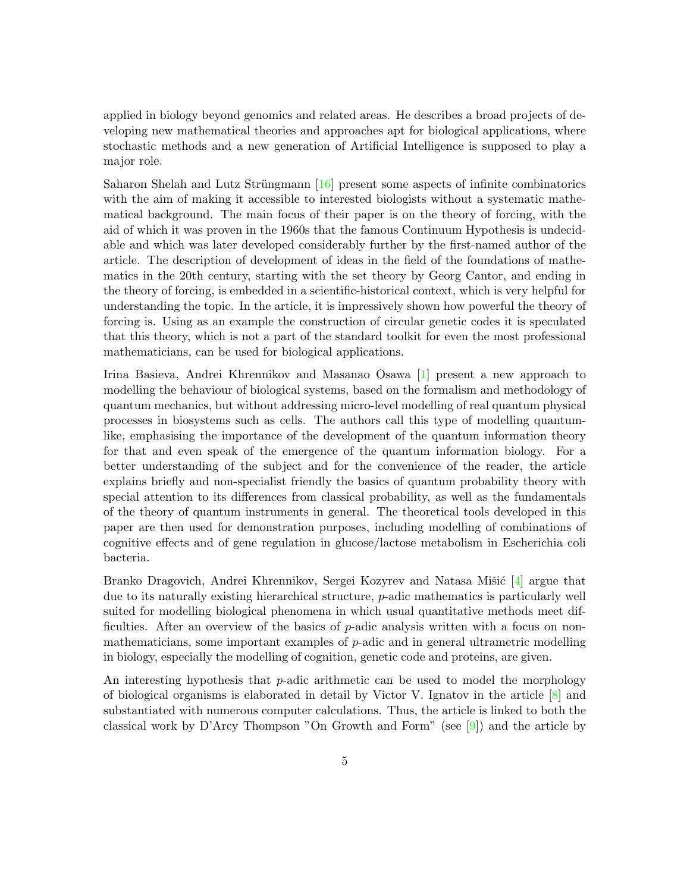applied in biology beyond genomics and related areas. He describes a broad projects of developing new mathematical theories and approaches apt for biological applications, where stochastic methods and a new generation of Artificial Intelligence is supposed to play a major role.

Saharon Shelah and Lutz Strüngmann  $[16]$  present some aspects of infinite combinatorics with the aim of making it accessible to interested biologists without a systematic mathematical background. The main focus of their paper is on the theory of forcing, with the aid of which it was proven in the 1960s that the famous Continuum Hypothesis is undecidable and which was later developed considerably further by the first-named author of the article. The description of development of ideas in the field of the foundations of mathematics in the 20th century, starting with the set theory by Georg Cantor, and ending in the theory of forcing, is embedded in a scientific-historical context, which is very helpful for understanding the topic. In the article, it is impressively shown how powerful the theory of forcing is. Using as an example the construction of circular genetic codes it is speculated that this theory, which is not a part of the standard toolkit for even the most professional mathematicians, can be used for biological applications.

Irina Basieva, Andrei Khrennikov and Masanao Osawa [\[1\]](#page-5-8) present a new approach to modelling the behaviour of biological systems, based on the formalism and methodology of quantum mechanics, but without addressing micro-level modelling of real quantum physical processes in biosystems such as cells. The authors call this type of modelling quantumlike, emphasising the importance of the development of the quantum information theory for that and even speak of the emergence of the quantum information biology. For a better understanding of the subject and for the convenience of the reader, the article explains briefly and non-specialist friendly the basics of quantum probability theory with special attention to its differences from classical probability, as well as the fundamentals of the theory of quantum instruments in general. The theoretical tools developed in this paper are then used for demonstration purposes, including modelling of combinations of cognitive effects and of gene regulation in glucose/lactose metabolism in Escherichia coli bacteria.

Branko Dragovich, Andrei Khrennikov, Sergei Kozyrev and Natasa Mišić [\[4\]](#page-5-9) argue that due to its naturally existing hierarchical structure, p-adic mathematics is particularly well suited for modelling biological phenomena in which usual quantitative methods meet difficulties. After an overview of the basics of p-adic analysis written with a focus on nonmathematicians, some important examples of p-adic and in general ultrametric modelling in biology, especially the modelling of cognition, genetic code and proteins, are given.

An interesting hypothesis that  $p$ -adic arithmetic can be used to model the morphology of biological organisms is elaborated in detail by Victor V. Ignatov in the article  $[8]$  and substantiated with numerous computer calculations. Thus, the article is linked to both the classical work by D'Arcy Thompson "On Growth and Form" (see  $[9]$ ) and the article by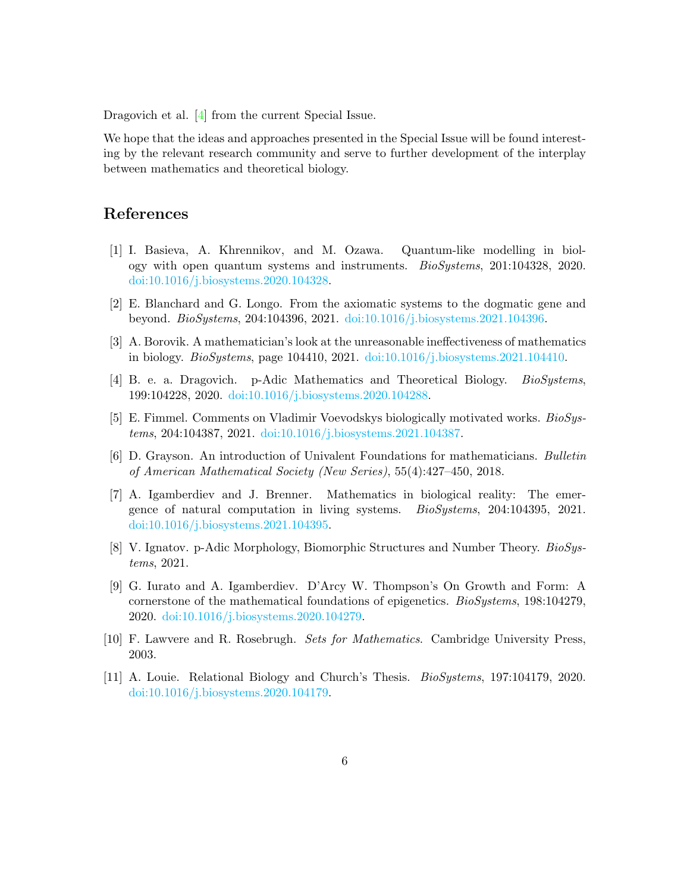Dragovich et al. [\[4\]](#page-5-9) from the current Special Issue.

We hope that the ideas and approaches presented in the Special Issue will be found interesting by the relevant research community and serve to further development of the interplay between mathematics and theoretical biology.

## References

- <span id="page-5-8"></span>[1] I. Basieva, A. Khrennikov, and M. Ozawa. Quantum-like modelling in biology with open quantum systems and instruments. BioSystems, 201:104328, 2020. [doi:10.1016/j.biosystems.2020.104328.](http://dx.doi.org/10.1016/j.biosystems.2020.104328)
- <span id="page-5-6"></span>[2] E. Blanchard and G. Longo. From the axiomatic systems to the dogmatic gene and beyond. BioSystems, 204:104396, 2021. [doi:10.1016/j.biosystems.2021.104396.](http://dx.doi.org/10.1016/j.biosystems.2021.104396)
- <span id="page-5-7"></span>[3] A. Borovik. A mathematician's look at the unreasonable ineffectiveness of mathematics in biology. BioSystems, page 104410, 2021. [doi:10.1016/j.biosystems.2021.104410.](http://dx.doi.org/10.1016/j.biosystems.2021.104410)
- <span id="page-5-9"></span>[4] B. e. a. Dragovich. p-Adic Mathematics and Theoretical Biology. BioSystems, 199:104228, 2020. [doi:10.1016/j.biosystems.2020.104288.](http://dx.doi.org/10.1016/j.biosystems.2020.104288)
- <span id="page-5-2"></span>[5] E. Fimmel. Comments on Vladimir Voevodskys biologically motivated works. BioSystems, 204:104387, 2021. [doi:10.1016/j.biosystems.2021.104387.](http://dx.doi.org/10.1016/j.biosystems.2021.104387)
- <span id="page-5-0"></span>[6] D. Grayson. An introduction of Univalent Foundations for mathematicians. Bulletin of American Mathematical Society (New Series), 55(4):427–450, 2018.
- <span id="page-5-5"></span>[7] A. Igamberdiev and J. Brenner. Mathematics in biological reality: The emergence of natural computation in living systems. BioSystems, 204:104395, 2021. [doi:10.1016/j.biosystems.2021.104395.](http://dx.doi.org/10.1016/j.biosystems.2021.104395)
- <span id="page-5-10"></span>[8] V. Ignatov. p-Adic Morphology, Biomorphic Structures and Number Theory. BioSystems, 2021.
- <span id="page-5-3"></span>[9] G. Iurato and A. Igamberdiev. D'Arcy W. Thompson's On Growth and Form: A cornerstone of the mathematical foundations of epigenetics. BioSystems, 198:104279, 2020. [doi:10.1016/j.biosystems.2020.104279.](http://dx.doi.org/10.1016/j.biosystems.2020.104279)
- <span id="page-5-1"></span>[10] F. Lawvere and R. Rosebrugh. Sets for Mathematics. Cambridge University Press, 2003.
- <span id="page-5-4"></span>[11] A. Louie. Relational Biology and Church's Thesis. BioSystems, 197:104179, 2020. [doi:10.1016/j.biosystems.2020.104179.](http://dx.doi.org/10.1016/j.biosystems.2020.104179)